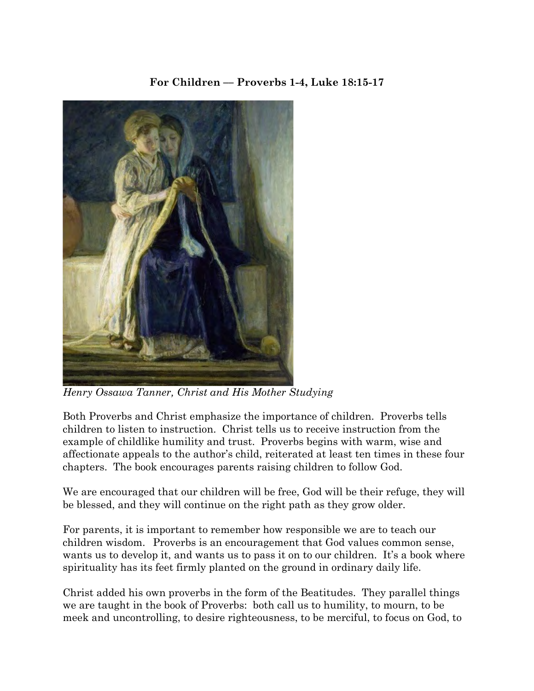# **For Children –– Proverbs 1-4, Luke 18:15-17**



*Henry Ossawa Tanner, Christ and His Mother Studying*

Both Proverbs and Christ emphasize the importance of children. Proverbs tells children to listen to instruction. Christ tells us to receive instruction from the example of childlike humility and trust. Proverbs begins with warm, wise and affectionate appeals to the author's child, reiterated at least ten times in these four chapters. The book encourages parents raising children to follow God.

We are encouraged that our children will be free, God will be their refuge, they will be blessed, and they will continue on the right path as they grow older.

For parents, it is important to remember how responsible we are to teach our children wisdom. Proverbs is an encouragement that God values common sense, wants us to develop it, and wants us to pass it on to our children. It's a book where spirituality has its feet firmly planted on the ground in ordinary daily life.

Christ added his own proverbs in the form of the Beatitudes. They parallel things we are taught in the book of Proverbs: both call us to humility, to mourn, to be meek and uncontrolling, to desire righteousness, to be merciful, to focus on God, to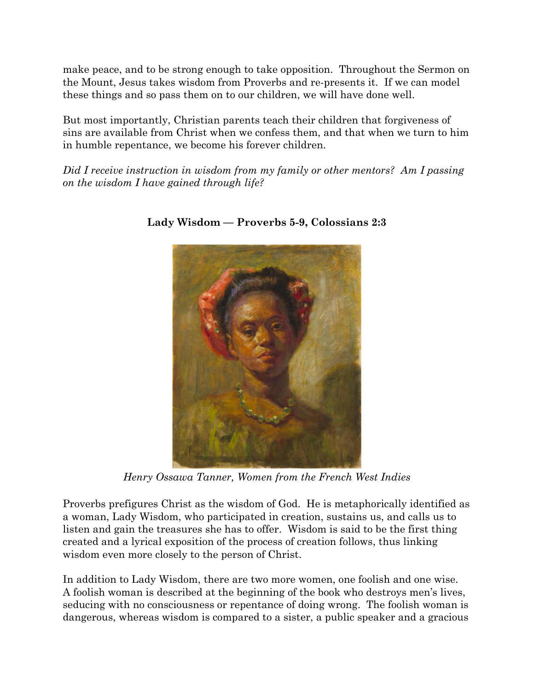make peace, and to be strong enough to take opposition. Throughout the Sermon on the Mount, Jesus takes wisdom from Proverbs and re-presents it. If we can model these things and so pass them on to our children, we will have done well.

But most importantly, Christian parents teach their children that forgiveness of sins are available from Christ when we confess them, and that when we turn to him in humble repentance, we become his forever children.

*Did I receive instruction in wisdom from my family or other mentors? Am I passing on the wisdom I have gained through life?*



### **Lady Wisdom –– Proverbs 5-9, Colossians 2:3**

*Henry Ossawa Tanner, Women from the French West Indies*

Proverbs prefigures Christ as the wisdom of God. He is metaphorically identified as a woman, Lady Wisdom, who participated in creation, sustains us, and calls us to listen and gain the treasures she has to offer. Wisdom is said to be the first thing created and a lyrical exposition of the process of creation follows, thus linking wisdom even more closely to the person of Christ.

In addition to Lady Wisdom, there are two more women, one foolish and one wise. A foolish woman is described at the beginning of the book who destroys men's lives, seducing with no consciousness or repentance of doing wrong. The foolish woman is dangerous, whereas wisdom is compared to a sister, a public speaker and a gracious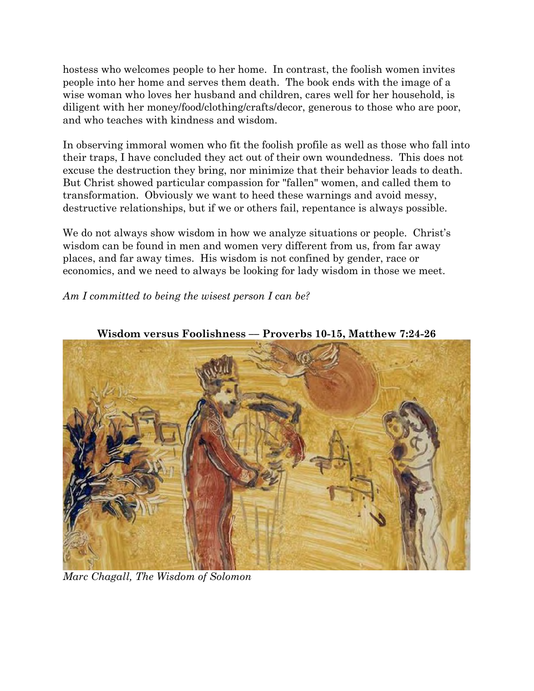hostess who welcomes people to her home. In contrast, the foolish women invites people into her home and serves them death. The book ends with the image of a wise woman who loves her husband and children, cares well for her household, is diligent with her money/food/clothing/crafts/decor, generous to those who are poor, and who teaches with kindness and wisdom.

In observing immoral women who fit the foolish profile as well as those who fall into their traps, I have concluded they act out of their own woundedness. This does not excuse the destruction they bring, nor minimize that their behavior leads to death. But Christ showed particular compassion for "fallen" women, and called them to transformation. Obviously we want to heed these warnings and avoid messy, destructive relationships, but if we or others fail, repentance is always possible.

We do not always show wisdom in how we analyze situations or people. Christ's wisdom can be found in men and women very different from us, from far away places, and far away times. His wisdom is not confined by gender, race or economics, and we need to always be looking for lady wisdom in those we meet.

### *Am I committed to being the wisest person I can be?*



**Wisdom versus Foolishness –– Proverbs 10-15, Matthew 7:24-26**

*Marc Chagall, The Wisdom of Solomon*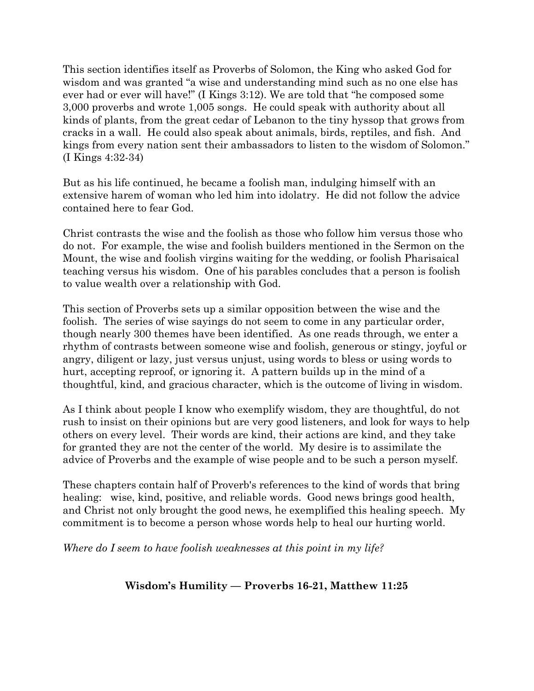This section identifies itself as Proverbs of Solomon, the King who asked God for wisdom and was granted "a wise and understanding mind such as no one else has ever had or ever will have!" (I Kings 3:12). We are told that "he composed some 3,000 proverbs and wrote 1,005 songs. He could speak with authority about all kinds of plants, from the great cedar of Lebanon to the tiny hyssop that grows from cracks in a wall. He could also speak about animals, birds, reptiles, and fish. And kings from every nation sent their ambassadors to listen to the wisdom of Solomon." (I Kings 4:32-34)

But as his life continued, he became a foolish man, indulging himself with an extensive harem of woman who led him into idolatry. He did not follow the advice contained here to fear God.

Christ contrasts the wise and the foolish as those who follow him versus those who do not. For example, the wise and foolish builders mentioned in the Sermon on the Mount, the wise and foolish virgins waiting for the wedding, or foolish Pharisaical teaching versus his wisdom. One of his parables concludes that a person is foolish to value wealth over a relationship with God.

This section of Proverbs sets up a similar opposition between the wise and the foolish. The series of wise sayings do not seem to come in any particular order, though nearly 300 themes have been identified. As one reads through, we enter a rhythm of contrasts between someone wise and foolish, generous or stingy, joyful or angry, diligent or lazy, just versus unjust, using words to bless or using words to hurt, accepting reproof, or ignoring it. A pattern builds up in the mind of a thoughtful, kind, and gracious character, which is the outcome of living in wisdom.

As I think about people I know who exemplify wisdom, they are thoughtful, do not rush to insist on their opinions but are very good listeners, and look for ways to help others on every level. Their words are kind, their actions are kind, and they take for granted they are not the center of the world. My desire is to assimilate the advice of Proverbs and the example of wise people and to be such a person myself.

These chapters contain half of Proverb's references to the kind of words that bring healing: wise, kind, positive, and reliable words. Good news brings good health, and Christ not only brought the good news, he exemplified this healing speech. My commitment is to become a person whose words help to heal our hurting world.

*Where do I seem to have foolish weaknesses at this point in my life?*

# **Wisdom's Humility –– Proverbs 16-21, Matthew 11:25**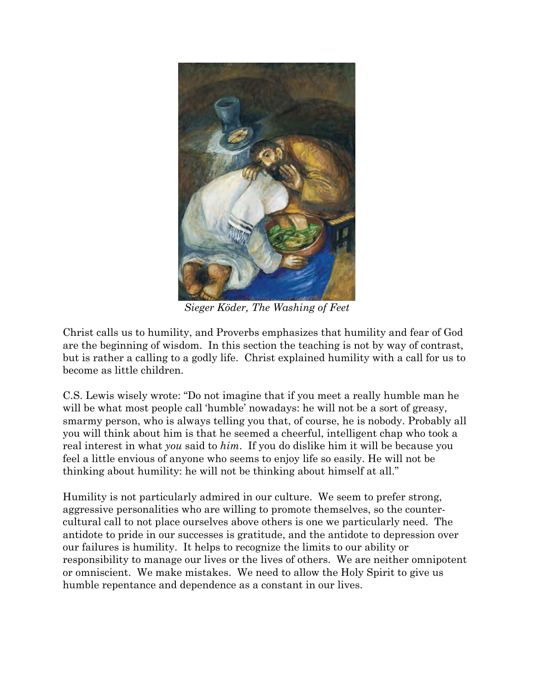

*Sieger Köder, The Washing of Feet*

Christ calls us to humility, and Proverbs emphasizes that humility and fear of God are the beginning of wisdom. In this section the teaching is not by way of contrast, but is rather a calling to a godly life. Christ explained humility with a call for us to become as little children.

C.S. Lewis wisely wrote: "Do not imagine that if you meet a really humble man he will be what most people call 'humble' nowadays: he will not be a sort of greasy, smarmy person, who is always telling you that, of course, he is nobody. Probably all you will think about him is that he seemed a cheerful, intelligent chap who took a real interest in what *you* said to *him*. If you do dislike him it will be because you feel a little envious of anyone who seems to enjoy life so easily. He will not be thinking about humility: he will not be thinking about himself at all."

Humility is not particularly admired in our culture. We seem to prefer strong, aggressive personalities who are willing to promote themselves, so the countercultural call to not place ourselves above others is one we particularly need. The antidote to pride in our successes is gratitude, and the antidote to depression over our failures is humility. It helps to recognize the limits to our ability or responsibility to manage our lives or the lives of others. We are neither omnipotent or omniscient. We make mistakes. We need to allow the Holy Spirit to give us humble repentance and dependence as a constant in our lives.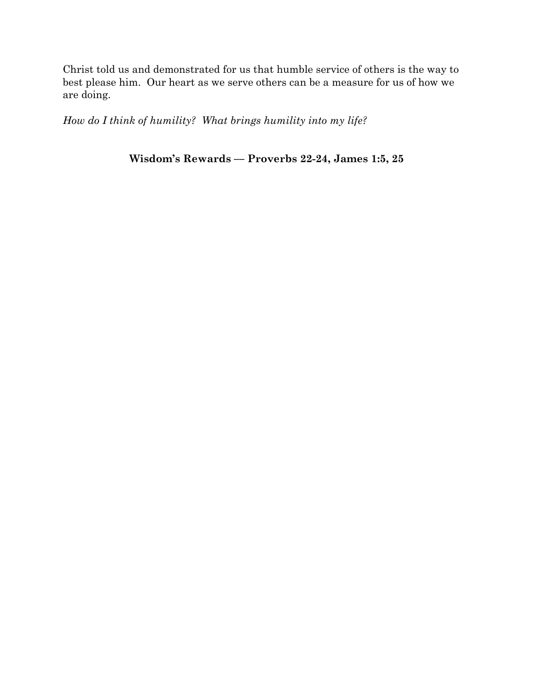Christ told us and demonstrated for us that humble service of others is the way to best please him. Our heart as we serve others can be a measure for us of how we are doing.

*How do I think of humility? What brings humility into my life?*

**Wisdom's Rewards –– Proverbs 22-24, James 1:5, 25**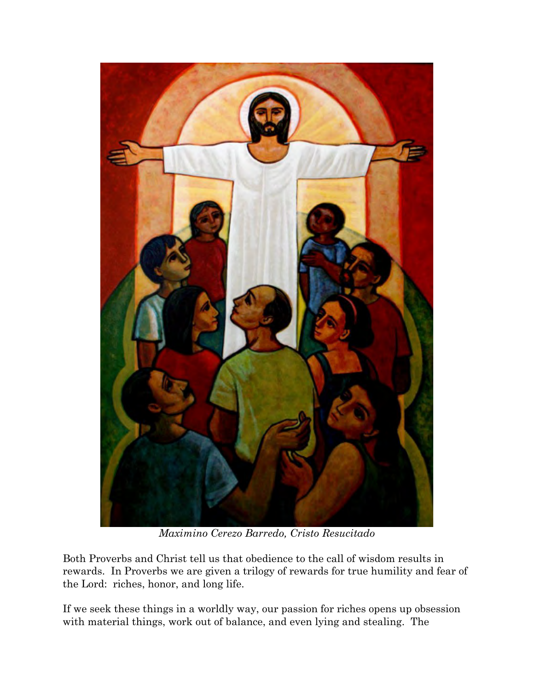

*Maximino Cerezo Barredo, Cristo Resucitado*

Both Proverbs and Christ tell us that obedience to the call of wisdom results in rewards. In Proverbs we are given a trilogy of rewards for true humility and fear of the Lord: riches, honor, and long life.

If we seek these things in a worldly way, our passion for riches opens up obsession with material things, work out of balance, and even lying and stealing. The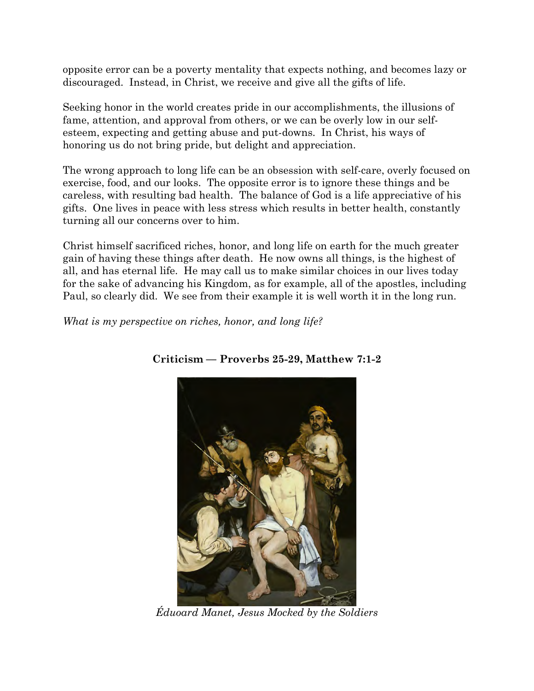opposite error can be a poverty mentality that expects nothing, and becomes lazy or discouraged. Instead, in Christ, we receive and give all the gifts of life.

Seeking honor in the world creates pride in our accomplishments, the illusions of fame, attention, and approval from others, or we can be overly low in our selfesteem, expecting and getting abuse and put-downs. In Christ, his ways of honoring us do not bring pride, but delight and appreciation.

The wrong approach to long life can be an obsession with self-care, overly focused on exercise, food, and our looks. The opposite error is to ignore these things and be careless, with resulting bad health. The balance of God is a life appreciative of his gifts. One lives in peace with less stress which results in better health, constantly turning all our concerns over to him.

Christ himself sacrificed riches, honor, and long life on earth for the much greater gain of having these things after death. He now owns all things, is the highest of all, and has eternal life. He may call us to make similar choices in our lives today for the sake of advancing his Kingdom, as for example, all of the apostles, including Paul, so clearly did. We see from their example it is well worth it in the long run.

*What is my perspective on riches, honor, and long life?*



**Criticism –– Proverbs 25-29, Matthew 7:1-2** 

*Éduoard Manet, Jesus Mocked by the Soldiers*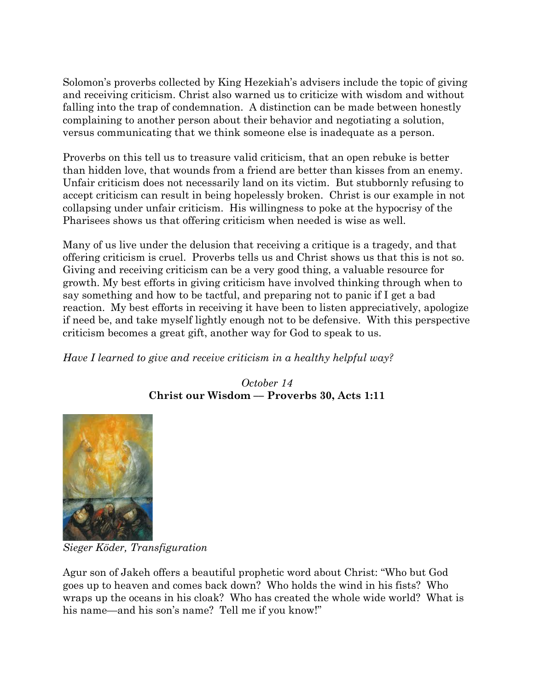Solomon's proverbs collected by King Hezekiah's advisers include the topic of giving and receiving criticism. Christ also warned us to criticize with wisdom and without falling into the trap of condemnation. A distinction can be made between honestly complaining to another person about their behavior and negotiating a solution, versus communicating that we think someone else is inadequate as a person.

Proverbs on this tell us to treasure valid criticism, that an open rebuke is better than hidden love, that wounds from a friend are better than kisses from an enemy. Unfair criticism does not necessarily land on its victim. But stubbornly refusing to accept criticism can result in being hopelessly broken. Christ is our example in not collapsing under unfair criticism. His willingness to poke at the hypocrisy of the Pharisees shows us that offering criticism when needed is wise as well.

Many of us live under the delusion that receiving a critique is a tragedy, and that offering criticism is cruel. Proverbs tells us and Christ shows us that this is not so. Giving and receiving criticism can be a very good thing, a valuable resource for growth. My best efforts in giving criticism have involved thinking through when to say something and how to be tactful, and preparing not to panic if I get a bad reaction. My best efforts in receiving it have been to listen appreciatively, apologize if need be, and take myself lightly enough not to be defensive. With this perspective criticism becomes a great gift, another way for God to speak to us.

*Have I learned to give and receive criticism in a healthy helpful way?*

*October 14* **Christ our Wisdom –– Proverbs 30, Acts 1:11**



*Sieger Köder, Transfiguration*

Agur son of Jakeh offers a beautiful prophetic word about Christ: "Who but God goes up to heaven and comes back down? Who holds the wind in his fists? Who wraps up the oceans in his cloak? Who has created the whole wide world? What is his name—and his son's name? Tell me if you know!"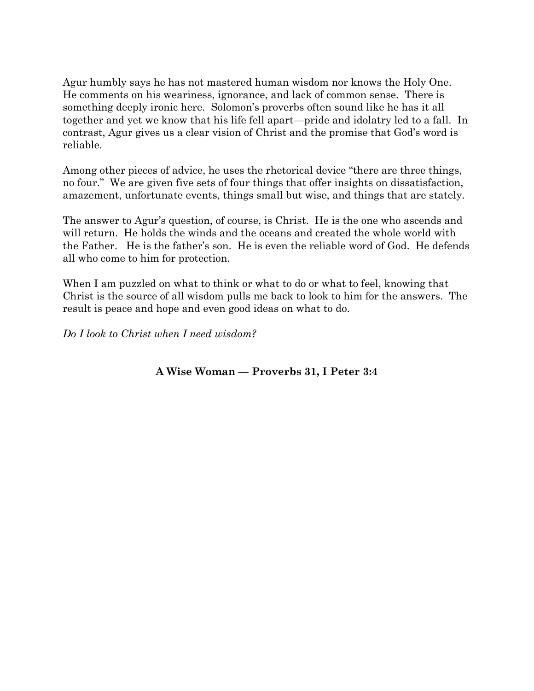Agur humbly says he has not mastered human wisdom nor knows the Holy One. He comments on his weariness, ignorance, and lack of common sense. There is something deeply ironic here. Solomon's proverbs often sound like he has it all together and yet we know that his life fell apart—pride and idolatry led to a fall. In contrast, Agur gives us a clear vision of Christ and the promise that God's word is reliable.

Among other pieces of advice, he uses the rhetorical device "there are three things, no four." We are given five sets of four things that offer insights on dissatisfaction, amazement, unfortunate events, things small but wise, and things that are stately.

The answer to Agur's question, of course, is Christ. He is the one who ascends and will return. He holds the winds and the oceans and created the whole world with the Father. He is the father's son. He is even the reliable word of God. He defends all who come to him for protection.

When I am puzzled on what to think or what to do or what to feel, knowing that Christ is the source of all wisdom pulls me back to look to him for the answers. The result is peace and hope and even good ideas on what to do.

*Do I look to Christ when I need wisdom?*

**A Wise Woman –– Proverbs 31, I Peter 3:4**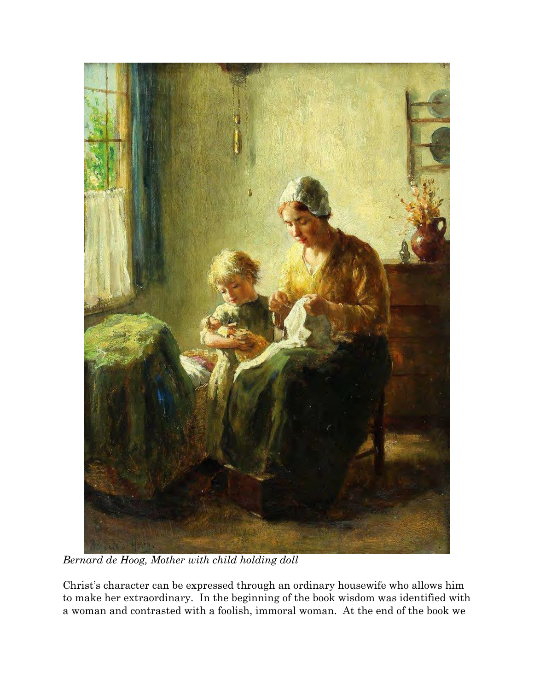

*Bernard de Hoog, Mother with child holding doll*

Christ's character can be expressed through an ordinary housewife who allows him to make her extraordinary. In the beginning of the book wisdom was identified with a woman and contrasted with a foolish, immoral woman. At the end of the book we